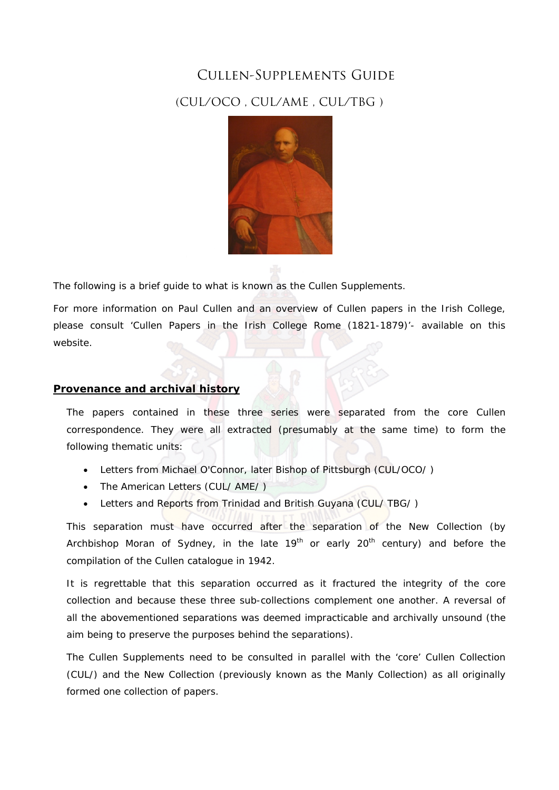# Cullen-Supplements Guide

# (CUL/OCO , CUL/AME , CUL/TBG )



The following is a brief guide to what is known as the Cullen Supplements.

For more information on Paul Cullen and an overview of Cullen papers in the Irish College, please consult 'Cullen Papers in the Irish College Rome (1821-1879)'- available on this website.

# **Provenance and archival history**

The papers contained in these three series were separated from the core Cullen correspondence. They were all extracted (presumably at the same time) to form the following thematic units:

- Letters from Michael O'Connor, later Bishop of Pittsburgh (CUL/OCO/ )
- The American Letters (CUL/ AME/ )
- Letters and Reports from Trinidad and British Guyana (CUL/ TBG/ )

This separation must have occurred after the separation of the New Collection (by Archbishop Moran of Sydney, in the late  $19<sup>th</sup>$  or early  $20<sup>th</sup>$  century) and before the compilation of the Cullen catalogue in 1942.

It is regrettable that this separation occurred as it fractured the integrity of the core collection and because these three sub-collections complement one another. A reversal of all the abovementioned separations was deemed impracticable and archivally unsound (the aim being to preserve the purposes behind the separations).

The Cullen Supplements need to be consulted in parallel with the 'core' Cullen Collection (CUL/) and the New Collection (previously known as the Manly Collection) as all originally formed one collection of papers.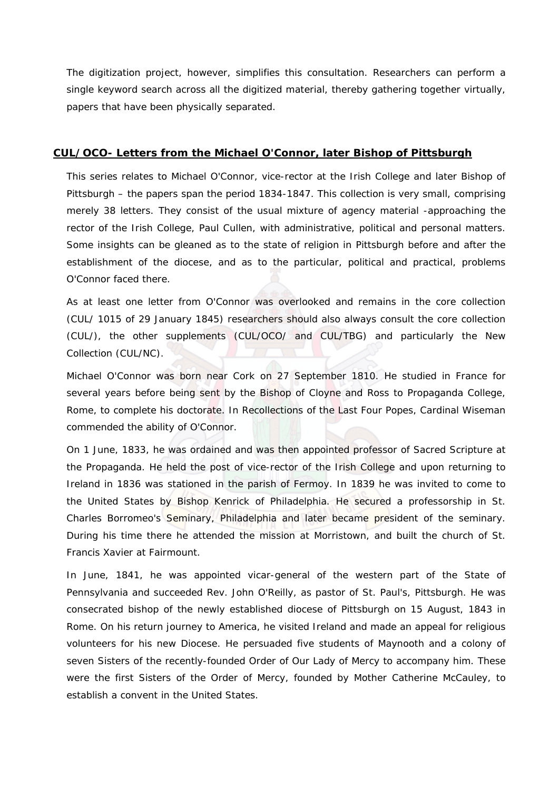The digitization project, however, simplifies this consultation. Researchers can perform a single keyword search across all the digitized material, thereby gathering together virtually, papers that have been physically separated.

## **CUL/OCO- Letters from the Michael O'Connor, later Bishop of Pittsburgh**

This series relates to Michael O'Connor, vice-rector at the Irish College and later Bishop of Pittsburgh – the papers span the period 1834-1847. This collection is very small, comprising merely 38 letters. They consist of the usual mixture of agency material -approaching the rector of the Irish College, Paul Cullen, with administrative, political and personal matters. Some insights can be gleaned as to the state of religion in Pittsburgh before and after the establishment of the diocese, and as to the particular, political and practical, problems O'Connor faced there.

As at least one letter from O'Connor was overlooked and remains in the core collection (CUL/ 1015 of 29 January 1845) researchers should also always consult the core collection (CUL/), the other supplements (CUL/OCO/ and CUL/TBG) and particularly the New Collection (CUL/NC).

Michael O'Connor was born near Cork on 27 September 1810. He studied in France for several years before being sent by the Bishop of Cloyne and Ross to Propaganda College, Rome, to complete his doctorate. In *Recollections of the Last Four Popes*, Cardinal Wiseman commended the ability of O'Connor.

On 1 June, 1833, he was ordained and was then appointed professor of Sacred Scripture at the Propaganda. He held the post of vice-rector of the Irish College and upon returning to Ireland in 1836 was stationed in the parish of Fermoy. In 1839 he was invited to come to the United States by Bishop Kenrick of Philadelphia. He secured a professorship in St. Charles Borromeo's Seminary, Philadelphia and later became president of the seminary. During his time there he attended the mission at Morristown, and built the church of St. Francis Xavier at Fairmount.

In June, 1841, he was appointed vicar-general of the western part of the State of Pennsylvania and succeeded Rev. John O'Reilly, as pastor of St. Paul's, Pittsburgh. He was consecrated bishop of the newly established diocese of Pittsburgh on 15 August, 1843 in Rome. On his return journey to America, he visited Ireland and made an appeal for religious volunteers for his new Diocese. He persuaded five students of Maynooth and a colony of seven Sisters of the recently-founded Order of Our Lady of Mercy to accompany him. These were the first Sisters of the Order of Mercy, founded by Mother Catherine McCauley, to establish a convent in the United States.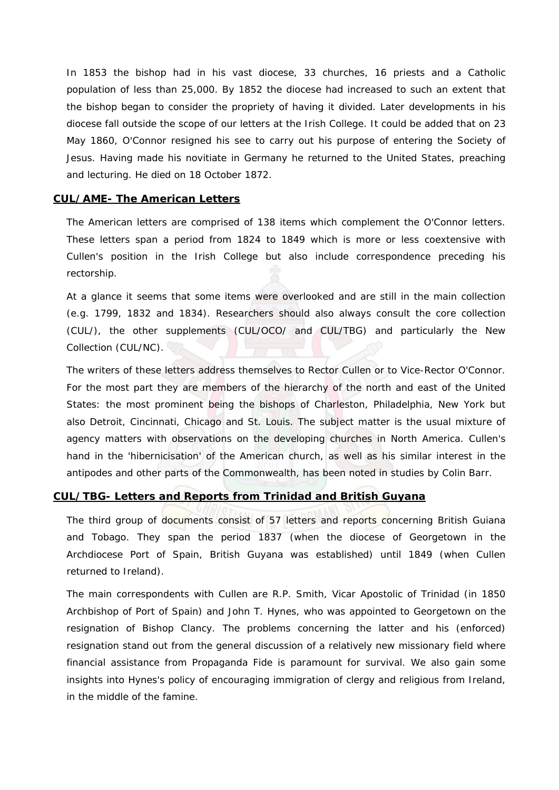In 1853 the bishop had in his vast diocese, 33 churches, 16 priests and a Catholic population of less than 25,000. By 1852 the diocese had increased to such an extent that the bishop began to consider the propriety of having it divided. Later developments in his diocese fall outside the scope of our letters at the Irish College. It could be added that on 23 May 1860, O'Connor resigned his see to carry out his purpose of entering the Society of Jesus. Having made his novitiate in Germany he returned to the United States, preaching and lecturing. He died on 18 October 1872.

#### **CUL/AME- The American Letters**

The American letters are comprised of 138 items which complement the O'Connor letters. These letters span a period from 1824 to 1849 which is more or less coextensive with Cullen's position in the Irish College but also include correspondence preceding his rectorship.

At a glance it seems that some items were overlooked and are still in the main collection (e.g. 1799, 1832 and 1834). Researchers should also always consult the core collection (CUL/), the other supplements (CUL/OCO/ and CUL/TBG) and particularly the New Collection (CUL/NC).

The writers of these letters address themselves to Rector Cullen or to Vice-Rector O'Connor. For the most part they are members of the hierarchy of the north and east of the United States: the most prominent being the bishops of Charleston, Philadelphia, New York but also Detroit, Cincinnati, Chicago and St. Louis. The subject matter is the usual mixture of agency matters with observations on the developing churches in North America. Cullen's hand in the 'hibernicisation' of the American church, as well as his similar interest in the antipodes and other parts of the Commonwealth, has been noted in studies by Colin Barr.

## **CUL/TBG- Letters and Reports from Trinidad and British Guyana**

The third group of documents consist of 57 letters and reports concerning British Guiana and Tobago. They span the period 1837 (when the diocese of Georgetown in the Archdiocese Port of Spain, British Guyana was established) until 1849 (when Cullen returned to Ireland).

The main correspondents with Cullen are R.P. Smith, Vicar Apostolic of Trinidad (in 1850 Archbishop of Port of Spain) and John T. Hynes, who was appointed to Georgetown on the resignation of Bishop Clancy. The problems concerning the latter and his (enforced) resignation stand out from the general discussion of a relatively new missionary field where financial assistance from Propaganda Fide is paramount for survival. We also gain some insights into Hynes's policy of encouraging immigration of clergy and religious from Ireland, in the middle of the famine.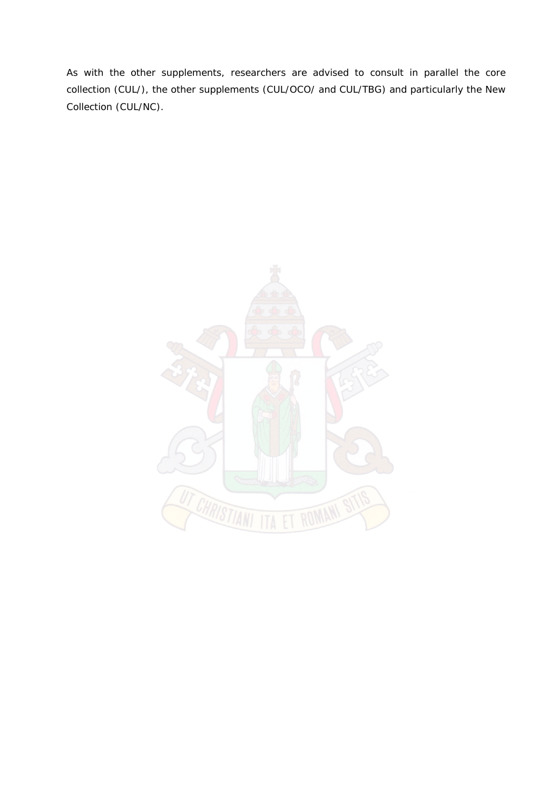As with the other supplements, researchers are advised to consult in parallel the core collection (CUL/), the other supplements (CUL/OCO/ and CUL/TBG) and particularly the New Collection (CUL/NC).